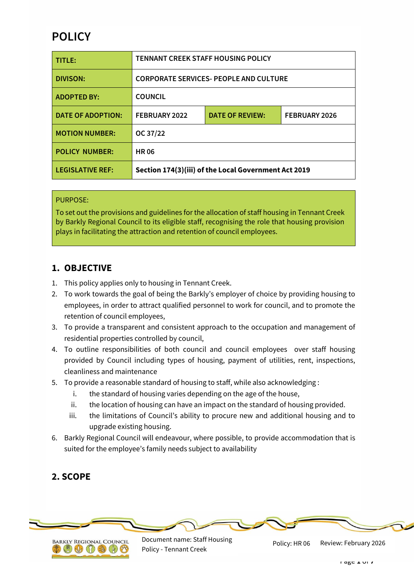# **POLICY**

| TITLE:                   | <b>TENNANT CREEK STAFF HOUSING POLICY</b>            |                        |               |
|--------------------------|------------------------------------------------------|------------------------|---------------|
| <b>DIVISON:</b>          | <b>CORPORATE SERVICES- PEOPLE AND CULTURE</b>        |                        |               |
| <b>ADOPTED BY:</b>       | <b>COUNCIL</b>                                       |                        |               |
| <b>DATE OF ADOPTION:</b> | FEBRUARY 2022                                        | <b>DATE OF REVIEW:</b> | FEBRUARY 2026 |
| <b>MOTION NUMBER:</b>    | OC 37/22                                             |                        |               |
| <b>POLICY NUMBER:</b>    | <b>HR06</b>                                          |                        |               |
| <b>LEGISLATIVE REF:</b>  | Section 174(3)(iii) of the Local Government Act 2019 |                        |               |

#### PURPOSE:

To set out the provisions and guidelines for the allocation of staff housing in Tennant Creek by Barkly Regional Council to its eligible staff, recognising the role that housing provision plays in facilitating the attraction and retention of council employees.

### **1. OBJECTIVE**

- 1. This policy applies only to housing in Tennant Creek.
- 2. To work towards the goal of being the Barkly's employer of choice by providing housing to employees, in order to attract qualified personnel to work for council, and to promote the retention of council employees,
- 3. To provide a transparent and consistent approach to the occupation and management of residential properties controlled by council,
- 4. To outline responsibilities of both council and council employees over staff housing provided by Council including types of housing, payment of utilities, rent, inspections, cleanliness and maintenance
- 5. To provide a reasonable standard of housing to staff, while also acknowledging :
	- i. the standard of housing varies depending on the age of the house,
	- ii. the location of housing can have an impact on the standard of housing provided.
	- iii. the limitations of Council's ability to procure new and additional housing and to upgrade existing housing.
- 6. Barkly Regional Council will endeavour, where possible, to provide accommodation that is suited for the employee's family needs subject to availability

# **2. SCOPE**



Document name: Staff Housing Policy - Tennant Creek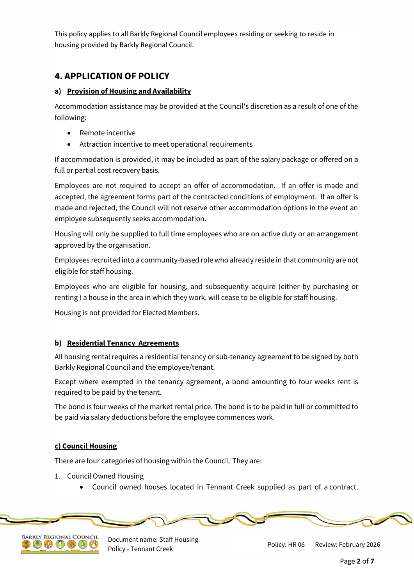This policy applies to all Barkly Regional Council employees residing or seeking to reside in housing provided by Barkly Regional Council.

# **4. APPLICATION OF POLICY**

### **a) Provision of Housing and Availability**

Accommodation assistance may be provided at the Council's discretion as a result of one of the following:

- Remote incentive
- Attraction incentive to meet operational requirements

If accommodation is provided, it may be included as part of the salary package or offered on a full or partial cost recovery basis.

Employees are not required to accept an offer of accommodation. If an offer is made and accepted, the agreement forms part of the contracted conditions of employment. If an offer is made and rejected, the Council will not reserve other accommodation options in the event an employee subsequently seeks accommodation.

Housing will only be supplied to full time employees who are on active duty or an arrangement approved by the organisation.

Employees recruited into a community-based role who already reside in that community are not eligible for staff housing.

Employees who are eligible for housing, and subsequently acquire (either by purchasing or renting ) a house in the area in which they work, will cease to be eligible for staff housing.

Housing is not provided for Elected Members.

### **b) Residential Tenancy Agreements**

All housing rental requires a residential tenancy or sub-tenancy agreement to be signed by both Barkly Regional Council and the employee/tenant.

Except where exempted in the tenancy agreement, a bond amounting to four weeks rent is required to be paid by the tenant.

The bond is four weeks of the market rental price. The bond is to be paid in full or committed to be paid via salary deductions before the employee commences work.

#### **c) Council Housing**

There are four categories of housing within the Council. They are:

- 1. Council Owned Housing
	- Council owned houses located in Tennant Creek supplied as part of a contract.





Document name: Staff Housing Policy - Tennant Creek Review: February 2026<br>Policy - Tennant Creek

Policy: HR 06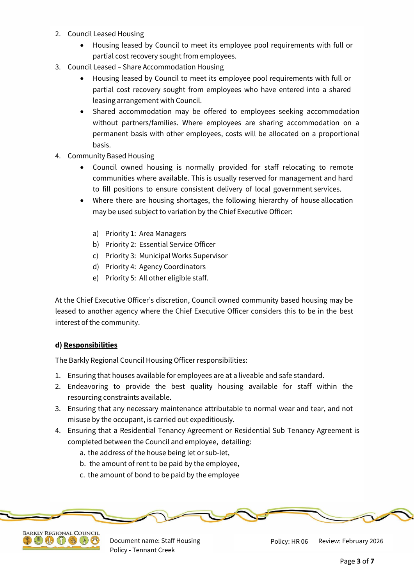- 2. Council Leased Housing
	- Housing leased by Council to meet its employee pool requirements with full or partial cost recovery sought from employees.
- 3. Council Leased Share Accommodation Housing
	- Housing leased by Council to meet its employee pool requirements with full or partial cost recovery sought from employees who have entered into a shared leasing arrangement with Council.
	- Shared accommodation may be offered to employees seeking accommodation without partners/families. Where employees are sharing accommodation on a permanent basis with other employees, costs will be allocated on a proportional basis.
- 4. Community Based Housing
	- Council owned housing is normally provided for staff relocating to remote communities where available. This is usually reserved for management and hard to fill positions to ensure consistent delivery of local government services.
	- Where there are housing shortages, the following hierarchy of house allocation may be used subject to variation by the Chief Executive Officer:
		- a) Priority 1: Area Managers
		- b) Priority 2: Essential Service Officer
		- c) Priority 3: Municipal Works Supervisor
		- d) Priority 4: Agency Coordinators
		- e) Priority 5: All other eligible staff.

At the Chief Executive Officer's discretion, Council owned community based housing may be leased to another agency where the Chief Executive Officer considers this to be in the best interest of the community.

#### **d) Responsibilities**

The Barkly Regional Council Housing Officer responsibilities:

- 1. Ensuring that houses available for employees are at a liveable and safe standard.
- 2. Endeavoring to provide the best quality housing available for staff within the resourcing constraints available.
- 3. Ensuring that any necessary maintenance attributable to normal wear and tear, and not misuse by the occupant, is carried out expeditiously.
- 4. Ensuring that a Residential Tenancy Agreement or Residential Sub Tenancy Agreement is completed between the Council and employee, detailing:
	- a. the address of the house being let or sub-let,
	- b. the amount of rent to be paid by the employee,
	- c. the amount of bond to be paid by the employee





Document name: Staff Housing Policy - Tennant Creek

Review: February 2026 Policy: HR 06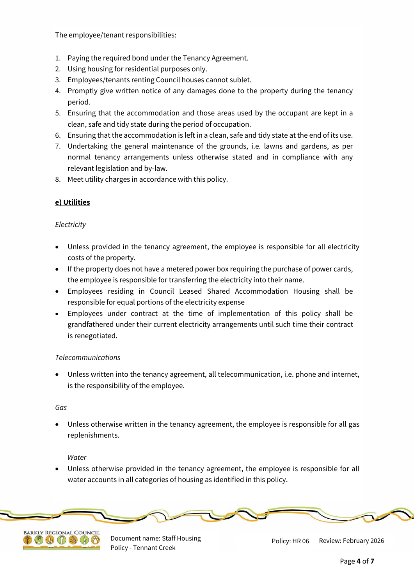The employee/tenant responsibilities:

- 1. Paying the required bond under the Tenancy Agreement.
- 2. Using housing for residential purposes only.
- 3. Employees/tenants renting Council houses cannot sublet.
- 4. Promptly give written notice of any damages done to the property during the tenancy period.
- 5. Ensuring that the accommodation and those areas used by the occupant are kept in a clean, safe and tidy state during the period of occupation.
- 6. Ensuring that the accommodation is left in a clean, safe and tidy state at the end of its use.
- 7. Undertaking the general maintenance of the grounds, i.e. lawns and gardens, as per normal tenancy arrangements unless otherwise stated and in compliance with any relevant legislation and by-law.
- 8. Meet utility charges in accordance with this policy.

#### **e) Utilities**

#### *Electricity*

- Unless provided in the tenancy agreement, the employee is responsible for all electricity costs of the property.
- If the property does not have a metered power box requiring the purchase of power cards, the employee is responsible for transferring the electricity into their name.
- Employees residing in Council Leased Shared Accommodation Housing shall be responsible for equal portions of the electricity expense
- Employees under contract at the time of implementation of this policy shall be grandfathered under their current electricity arrangements until such time their contract is renegotiated.

#### *Telecommunications*

 Unless written into the tenancy agreement, all telecommunication, i.e. phone and internet, is the responsibility of the employee.

#### *Gas*

 Unless otherwise written in the tenancy agreement, the employee is responsible for all gas replenishments.

#### *Water*

 Unless otherwise provided in the tenancy agreement, the employee is responsible for all water accounts in all categories of housing as identified in this policy.





Document name: Staff Housing Policy - Tennant Creek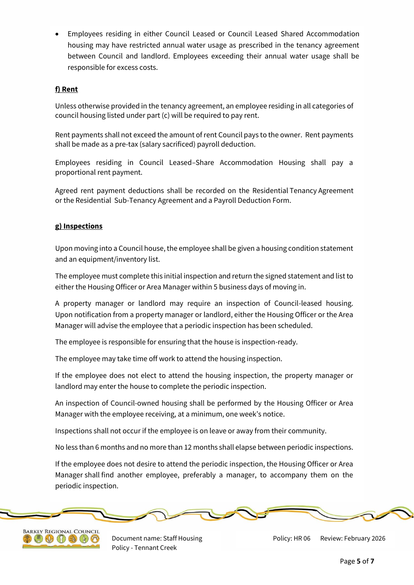Employees residing in either Council Leased or Council Leased Shared Accommodation housing may have restricted annual water usage as prescribed in the tenancy agreement between Council and landlord. Employees exceeding their annual water usage shall be responsible for excess costs.

#### **f) Rent**

Unless otherwise provided in the tenancy agreement, an employee residing in all categories of council housing listed under part (c) will be required to pay rent.

Rent payments shall not exceed the amount of rent Council pays to the owner. Rent payments shall be made as a pre-tax (salary sacrificed) payroll deduction.

Employees residing in Council Leased–Share Accommodation Housing shall pay a proportional rent payment.

Agreed rent payment deductions shall be recorded on the Residential Tenancy Agreement or the Residential Sub-Tenancy Agreement and a Payroll Deduction Form.

#### **g) Inspections**

Upon moving into a Council house, the employee shall be given a housing condition statement and an equipment/inventory list.

The employee must complete this initial inspection and return the signed statement and list to either the Housing Officer or Area Manager within 5 business days of moving in.

A property manager or landlord may require an inspection of Council-leased housing. Upon notification from a property manager or landlord, either the Housing Officer or the Area Manager will advise the employee that a periodic inspection has been scheduled.

The employee is responsible for ensuring that the house is inspection-ready.

The employee may take time off work to attend the housing inspection.

If the employee does not elect to attend the housing inspection, the property manager or landlord may enter the house to complete the periodic inspection.

An inspection of Council-owned housing shall be performed by the Housing Officer or Area Manager with the employee receiving, at a minimum, one week's notice.

Inspections shall not occur if the employee is on leave or away from their community.

No less than 6 months and no more than 12 months shall elapse between periodic inspections.

If the employee does not desire to attend the periodic inspection, the Housing Officer or Area Manager shall find another employee, preferably a manager, to accompany them on the periodic inspection.





Document name: Staff Housing Policy - Tennant Creek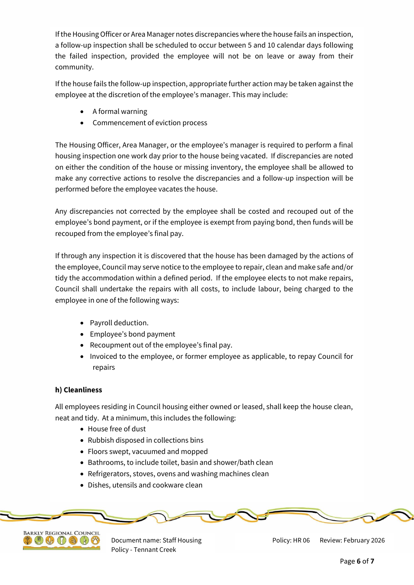If the Housing Officer or Area Manager notes discrepancies where the house fails an inspection, a follow-up inspection shall be scheduled to occur between 5 and 10 calendar days following the failed inspection, provided the employee will not be on leave or away from their community.

If the house fails the follow-up inspection, appropriate further action may be taken against the employee at the discretion of the employee's manager. This may include:

- A formal warning
- Commencement of eviction process

The Housing Officer, Area Manager, or the employee's manager is required to perform a final housing inspection one work day prior to the house being vacated. If discrepancies are noted on either the condition of the house or missing inventory, the employee shall be allowed to make any corrective actions to resolve the discrepancies and a follow-up inspection will be performed before the employee vacates the house.

Any discrepancies not corrected by the employee shall be costed and recouped out of the employee's bond payment, or if the employee is exempt from paying bond, then funds will be recouped from the employee's final pay.

If through any inspection it is discovered that the house has been damaged by the actions of the employee, Council may serve notice to the employee to repair, clean and make safe and/or tidy the accommodation within a defined period. If the employee elects to not make repairs, Council shall undertake the repairs with all costs, to include labour, being charged to the employee in one of the following ways:

- Payroll deduction.
- Employee's bond payment
- Recoupment out of the employee's final pay.
- Invoiced to the employee, or former employee as applicable, to repay Council for repairs

### **h) Cleanliness**

All employees residing in Council housing either owned or leased, shall keep the house clean, neat and tidy. At a minimum, this includes the following:

- House free of dust
- Rubbish disposed in collections bins
- Floors swept, vacuumed and mopped
- Bathrooms, to include toilet, basin and shower/bath clean
- Refrigerators, stoves, ovens and washing machines clean
- Dishes, utensils and cookware clean





Document name: Staff Housing Policy - Tennant Creek